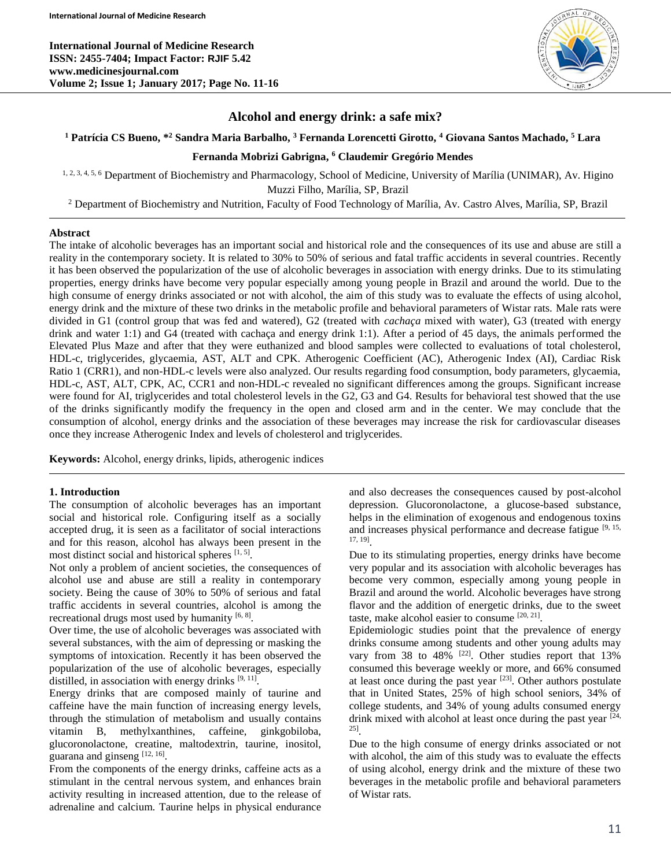**International Journal of Medicine Research ISSN: 2455-7404; Impact Factor: RJIF 5.42 www.medicinesjournal.com Volume 2; Issue 1; January 2017; Page No. 11-16**



## **Alcohol and energy drink: a safe mix?**

#### **<sup>1</sup> Patrícia CS Bueno, \* <sup>2</sup> Sandra Maria Barbalho, <sup>3</sup> Fernanda Lorencetti Girotto, <sup>4</sup> Giovana Santos Machado, <sup>5</sup> Lara**

## **Fernanda Mobrizi Gabrigna, <sup>6</sup> Claudemir Gregório Mendes**

1, 2, 3, 4, 5, 6 Department of Biochemistry and Pharmacology, School of Medicine, University of Marília (UNIMAR), Av. Higino Muzzi Filho, Marília, SP, Brazil

<sup>2</sup> Department of Biochemistry and Nutrition, Faculty of Food Technology of Marília, Av. Castro Alves, Marília, SP, Brazil

#### **Abstract**

The intake of alcoholic beverages has an important social and historical role and the consequences of its use and abuse are still a reality in the contemporary society. It is related to 30% to 50% of serious and fatal traffic accidents in several countries. Recently it has been observed the popularization of the use of alcoholic beverages in association with energy drinks. Due to its stimulating properties, energy drinks have become very popular especially among young people in Brazil and around the world. Due to the high consume of energy drinks associated or not with alcohol, the aim of this study was to evaluate the effects of using alcohol, energy drink and the mixture of these two drinks in the metabolic profile and behavioral parameters of Wistar rats. Male rats were divided in G1 (control group that was fed and watered), G2 (treated with *cachaça* mixed with water), G3 (treated with energy drink and water 1:1) and G4 (treated with cachaça and energy drink 1:1). After a period of 45 days, the animals performed the Elevated Plus Maze and after that they were euthanized and blood samples were collected to evaluations of total cholesterol, HDL-c, triglycerides, glycaemia, AST, ALT and CPK. Atherogenic Coefficient (AC), Atherogenic Index (AI), Cardiac Risk Ratio 1 (CRR1), and non-HDL-c levels were also analyzed. Our results regarding food consumption, body parameters, glycaemia, HDL-c, AST, ALT, CPK, AC, CCR1 and non-HDL-c revealed no significant differences among the groups. Significant increase were found for AI, triglycerides and total cholesterol levels in the G2, G3 and G4. Results for behavioral test showed that the use of the drinks significantly modify the frequency in the open and closed arm and in the center. We may conclude that the consumption of alcohol, energy drinks and the association of these beverages may increase the risk for cardiovascular diseases once they increase Atherogenic Index and levels of cholesterol and triglycerides.

**Keywords:** Alcohol, energy drinks, lipids, atherogenic indices

#### **1. Introduction**

The consumption of alcoholic beverages has an important social and historical role. Configuring itself as a socially accepted drug, it is seen as a facilitator of social interactions and for this reason, alcohol has always been present in the most distinct social and historical spheres [1, 5].

Not only a problem of ancient societies, the consequences of alcohol use and abuse are still a reality in contemporary society. Being the cause of 30% to 50% of serious and fatal traffic accidents in several countries, alcohol is among the recreational drugs most used by humanity  $[6, 8]$ .

Over time, the use of alcoholic beverages was associated with several substances, with the aim of depressing or masking the symptoms of intoxication. Recently it has been observed the popularization of the use of alcoholic beverages, especially distilled, in association with energy drinks  $[9, 11]$ .

Energy drinks that are composed mainly of taurine and caffeine have the main function of increasing energy levels, through the stimulation of metabolism and usually contains vitamin B, methylxanthines, caffeine, ginkgobiloba, glucoronolactone, creatine, maltodextrin, taurine, inositol, guarana and ginseng  $[12, 16]$ .

From the components of the energy drinks, caffeine acts as a stimulant in the central nervous system, and enhances brain activity resulting in increased attention, due to the release of adrenaline and calcium. Taurine helps in physical endurance and also decreases the consequences caused by post-alcohol depression. Glucoronolactone, a glucose-based substance, helps in the elimination of exogenous and endogenous toxins and increases physical performance and decrease fatigue [9, 15, 17, 19] .

Due to its stimulating properties, energy drinks have become very popular and its association with alcoholic beverages has become very common, especially among young people in Brazil and around the world. Alcoholic beverages have strong flavor and the addition of energetic drinks, due to the sweet taste, make alcohol easier to consume [20, 21].

Epidemiologic studies point that the prevalence of energy drinks consume among students and other young adults may vary from 38 to 48% <sup>[22]</sup>. Other studies report that 13% consumed this beverage weekly or more, and 66% consumed at least once during the past year  $[23]$ . Other authors postulate that in United States, 25% of high school seniors, 34% of college students, and 34% of young adults consumed energy drink mixed with alcohol at least once during the past year  $[24, 1]$ 25] .

Due to the high consume of energy drinks associated or not with alcohol, the aim of this study was to evaluate the effects of using alcohol, energy drink and the mixture of these two beverages in the metabolic profile and behavioral parameters of Wistar rats.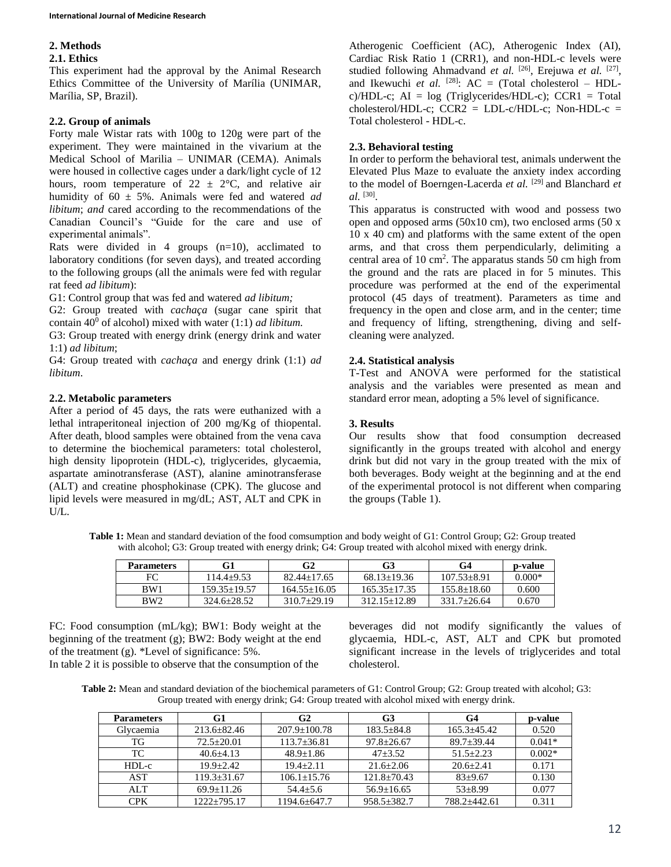# **2. Methods**

## **2.1. Ethics**

This experiment had the approval by the Animal Research Ethics Committee of the University of Marília (UNIMAR, Marília, SP, Brazil).

## **2.2. Group of animals**

Forty male Wistar rats with 100g to 120g were part of the experiment. They were maintained in the vivarium at the Medical School of Marilia – UNIMAR (CEMA). Animals were housed in collective cages under a dark/light cycle of 12 hours, room temperature of  $22 \pm 2$ °C, and relative air humidity of 60 ± 5%. Animals were fed and watered *ad libitum*; *and* cared according to the recommendations of the Canadian Council's "Guide for the care and use of experimental animals".

Rats were divided in 4 groups  $(n=10)$ , acclimated to laboratory conditions (for seven days), and treated according to the following groups (all the animals were fed with regular rat feed *ad libitum*):

G1: Control group that was fed and watered *ad libitum;* 

G2: Group treated with *cachaça* (sugar cane spirit that contain  $40^{\overline{0}}$  of alcohol) mixed with water (1:1) *ad libitum*.

G3: Group treated with energy drink (energy drink and water 1:1) *ad libitum*;

G4: Group treated with *cachaça* and energy drink (1:1) *ad libitum*.

## **2.2. Metabolic parameters**

After a period of 45 days, the rats were euthanized with a lethal intraperitoneal injection of 200 mg/Kg of thiopental. After death, blood samples were obtained from the vena cava to determine the biochemical parameters: total cholesterol, high density lipoprotein (HDL-c), triglycerides, glycaemia, aspartate aminotransferase (AST), alanine aminotransferase (ALT) and creatine phosphokinase (CPK). The glucose and lipid levels were measured in mg/dL; AST, ALT and CPK in U/L.

Atherogenic Coefficient (AC), Atherogenic Index (AI), Cardiac Risk Ratio 1 (CRR1), and non-HDL-c levels were studied following Ahmadvand et al. <sup>[26]</sup>, Erejuwa et al. <sup>[27]</sup>, and Ikewuchi *et al.* <sup>[28]</sup>:  $AC = (Total cholesterol - HDL$ c)/HDL-c;  $AI = log$  (Triglycerides/HDL-c);  $CCR1 = Total$ cholesterol/HDL-c;  $CCR2 = LDL-c/HDL-c$ ; Non-HDL-c = Total cholesterol - HDL-c.

# **2.3. Behavioral testing**

In order to perform the behavioral test, animals underwent the Elevated Plus Maze to evaluate the anxiety index according to the model of Boerngen-Lacerda *et al.* [29] and Blanchard *et al.* [30] .

This apparatus is constructed with wood and possess two open and opposed arms (50x10 cm), two enclosed arms (50 x 10 x 40 cm) and platforms with the same extent of the open arms, and that cross them perpendicularly, delimiting a central area of 10 cm<sup>2</sup>. The apparatus stands 50 cm high from the ground and the rats are placed in for 5 minutes. This procedure was performed at the end of the experimental protocol (45 days of treatment). Parameters as time and frequency in the open and close arm, and in the center; time and frequency of lifting, strengthening, diving and selfcleaning were analyzed.

## **2.4. Statistical analysis**

T-Test and ANOVA were performed for the statistical analysis and the variables were presented as mean and standard error mean, adopting a 5% level of significance.

## **3. Results**

Our results show that food consumption decreased significantly in the groups treated with alcohol and energy drink but did not vary in the group treated with the mix of both beverages. Body weight at the beginning and at the end of the experimental protocol is not different when comparing the groups (Table 1).

**Table 1:** Mean and standard deviation of the food comsumption and body weight of G1: Control Group; G2: Group treated with alcohol; G3: Group treated with energy drink; G4: Group treated with alcohol mixed with energy drink.

| <b>Parameters</b> | G1               | G2              | G3               | G4              | p-value  |
|-------------------|------------------|-----------------|------------------|-----------------|----------|
| FC                | $114.4+9.53$     | $82.44 + 17.65$ | $68.13 + 19.36$  | $107.53 + 8.91$ | $0.000*$ |
| BW1               | $159.35 + 19.57$ | $164.55+16.05$  | $165.35 + 17.35$ | $155.8 + 18.60$ | 0.600    |
| BW <sub>2</sub>   | $324.6 + 28.52$  | $310.7+29.19$   | $312.15 + 12.89$ | $331.7+26.64$   | 0.670    |

FC: Food consumption (mL/kg); BW1: Body weight at the beginning of the treatment (g); BW2: Body weight at the end of the treatment (g). \*Level of significance: 5%.

In table 2 it is possible to observe that the consumption of the

beverages did not modify significantly the values of glycaemia, HDL-c, AST, ALT and CPK but promoted significant increase in the levels of triglycerides and total cholesterol.

**Table 2:** Mean and standard deviation of the biochemical parameters of G1: Control Group; G2: Group treated with alcohol; G3: Group treated with energy drink; G4: Group treated with alcohol mixed with energy drink.

| <b>Parameters</b> | G1              | G <sub>2</sub>     | G3               | G4              | p-value  |
|-------------------|-----------------|--------------------|------------------|-----------------|----------|
| Glycaemia         | $213.6 + 82.46$ | $207.9 \pm 100.78$ | $183.5 + 84.8$   | $165.3 + 45.42$ | 0.520    |
| ТG                | $72.5 + 20.01$  | $113.7 \pm 36.81$  | $97.8 \pm 26.67$ | $89.7 + 39.44$  | $0.041*$ |
| TC                | $40.6 + 4.13$   | $48.9 + 1.86$      | $47 + 3.52$      | $51.5 + 2.23$   | $0.002*$ |
| HDL-c             | $19.9 + 2.42$   | $19.4 + 2.11$      | $21.6 + 2.06$    | $20.6 + 2.41$   | 0.171    |
| AST               | $119.3 + 31.67$ | $106.1 + 15.76$    | $121.8 + 70.43$  | $83+9.67$       | 0.130    |
| <b>ALT</b>        | $69.9+11.26$    | $54.4 + 5.6$       | $56.9 \pm 16.65$ | $53 + 8.99$     | 0.077    |
| <b>CPK</b>        | $1222+795.17$   | $1194.6 + 647.7$   | $958.5 + 382.7$  | 788.2+442.61    | 0.311    |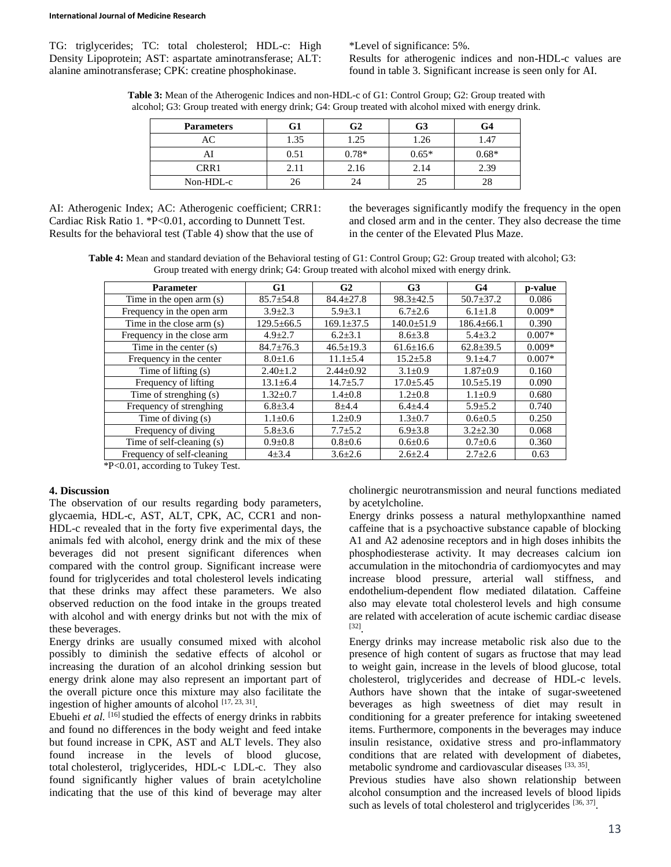TG: triglycerides; TC: total cholesterol; HDL-c: High Density Lipoprotein; AST: aspartate aminotransferase; ALT: alanine aminotransferase; CPK: creatine phosphokinase.

\*Level of significance: 5%.

Results for atherogenic indices and non-HDL-c values are found in table 3. Significant increase is seen only for AI.

**Table 3:** Mean of the Atherogenic Indices and non-HDL-c of G1: Control Group; G2: Group treated with alcohol; G3: Group treated with energy drink; G4: Group treated with alcohol mixed with energy drink.

| <b>Parameters</b> | G1   | G2      | G <sub>3</sub> | G4      |
|-------------------|------|---------|----------------|---------|
| AC                | 1.35 | 1.25    | 1.26           | 1.47    |
| AI                | 0.51 | $0.78*$ | $0.65*$        | $0.68*$ |
| CRR1              | 2.11 | 2.16    | 2.14           | 2.39    |
| Non-HDL-c         |      | 24      | 25             | 28      |

AI: Atherogenic Index; AC: Atherogenic coefficient; CRR1: Cardiac Risk Ratio 1. \*P<0.01, according to Dunnett Test. Results for the behavioral test (Table 4) show that the use of

the beverages significantly modify the frequency in the open and closed arm and in the center. They also decrease the time in the center of the Elevated Plus Maze.

**Table 4:** Mean and standard deviation of the Behavioral testing of G1: Control Group; G2: Group treated with alcohol; G3: Group treated with energy drink; G4: Group treated with alcohol mixed with energy drink.

| <b>Parameter</b>           | G1               | G <sub>2</sub>   | G <sub>3</sub>   | G <sub>4</sub>   | p-value  |
|----------------------------|------------------|------------------|------------------|------------------|----------|
| Time in the open arm (s)   | $85.7 \pm 54.8$  | $84.4 \pm 27.8$  | $98.3 \pm 42.5$  | $50.7 \pm 37.2$  | 0.086    |
| Frequency in the open arm  | $3.9 \pm 2.3$    | $5.9 \pm 3.1$    | $6.7 \pm 2.6$    | $6.1 \pm 1.8$    | $0.009*$ |
| Time in the close arm (s)  | $129.5 \pm 66.5$ | $169.1 \pm 37.5$ | $140.0 \pm 51.9$ | $186.4 \pm 66.1$ | 0.390    |
| Frequency in the close arm | $4.9 \pm 2.7$    | $6.2 \pm 3.1$    | $8.6 \pm 3.8$    | $5.4 \pm 3.2$    | $0.007*$ |
| Time in the center $(s)$   | $84.7 \pm 76.3$  | $46.5 \pm 19.3$  | $61.6 \pm 16.6$  | $62.8 \pm 39.5$  | $0.009*$ |
| Frequency in the center    | $8.0 \pm 1.6$    | $11.1 \pm 5.4$   | $15.2 \pm 5.8$   | $9.1 \pm 4.7$    | $0.007*$ |
| Time of lifting (s)        | $2.40 \pm 1.2$   | $2.44 \pm 0.92$  | $3.1 \pm 0.9$    | $1.87 \pm 0.9$   | 0.160    |
| Frequency of lifting       | $13.1 \pm 6.4$   | $14.7 + 5.7$     | $17.0 \pm 5.45$  | $10.5 \pm 5.19$  | 0.090    |
| Time of strenghing (s)     | $1.32 \pm 0.7$   | $1.4 \pm 0.8$    | $1.2 \pm 0.8$    | $1.1 \pm 0.9$    | 0.680    |
| Frequency of strenghing    | $6.8 \pm 3.4$    | $8 + 4.4$        | $6.4 \pm 4.4$    | $5.9 \pm 5.2$    | 0.740    |
| Time of diving (s)         | $1.1 \pm 0.6$    | $1.2 \pm 0.9$    | $1.3 \pm 0.7$    | $0.6 \pm 0.5$    | 0.250    |
| Frequency of diving        | $5.8 \pm 3.6$    | $7.7 \pm 5.2$    | $6.9 \pm 3.8$    | $3.2 \pm 2.30$   | 0.068    |
| Time of self-cleaning (s)  | $0.9 + 0.8$      | $0.8 \pm 0.6$    | $0.6 \pm 0.6$    | $0.7 \pm 0.6$    | 0.360    |
| Frequency of self-cleaning | $4 + 3.4$        | $3.6 \pm 2.6$    | $2.6 \pm 2.4$    | $2.7 \pm 2.6$    | 0.63     |

\*P<0.01, according to Tukey Test.

#### **4. Discussion**

The observation of our results regarding body parameters, glycaemia, HDL-c, AST, ALT, CPK, AC, CCR1 and non-HDL-c revealed that in the forty five experimental days, the animals fed with alcohol, energy drink and the mix of these beverages did not present significant diferences when compared with the control group. Significant increase were found for triglycerides and total cholesterol levels indicating that these drinks may affect these parameters. We also observed reduction on the food intake in the groups treated with alcohol and with energy drinks but not with the mix of these beverages.

Energy drinks are usually consumed mixed with alcohol possibly to diminish the sedative effects of alcohol or increasing the duration of an alcohol drinking session but energy drink alone may also represent an important part of the overall picture once this mixture may also facilitate the ingestion of higher amounts of alcohol  $[17, 23, 31]$ .

Ebuehi *et al.* <sup>[16]</sup> studied the effects of energy drinks in rabbits and found no differences in the body weight and feed intake but found increase in CPK, AST and ALT levels. They also found increase in the levels of blood glucose, total cholesterol, triglycerides, HDL-c LDL-c. They also found significantly higher values of brain acetylcholine indicating that the use of this kind of beverage may alter

cholinergic neurotransmission and neural functions mediated by acetylcholine.

Energy drinks possess a natural methylopxanthine named caffeine that is a psychoactive substance capable of blocking A1 and A2 adenosine receptors and in high doses inhibits the phosphodiesterase activity. It may decreases calcium ion accumulation in the mitochondria of cardiomyocytes and may increase blood pressure, arterial wall stiffness, and endothelium-dependent flow mediated dilatation. Caffeine also may elevate total cholesterol levels and high consume are related with acceleration of acute ischemic cardiac disease [32] .

Energy drinks may increase metabolic risk also due to the presence of high content of sugars as fructose that may lead to weight gain, increase in the levels of blood glucose, total cholesterol, triglycerides and decrease of HDL-c levels. Authors have shown that the intake of sugar-sweetened beverages as high sweetness of diet may result in conditioning for a greater preference for intaking sweetened items. Furthermore, components in the beverages may induce insulin resistance, oxidative stress and pro-inflammatory conditions that are related with development of diabetes, metabolic syndrome and cardiovascular diseases [33, 35].

Previous studies have also shown relationship between alcohol consumption and the increased levels of blood lipids such as levels of total cholesterol and triglycerides [36, 37].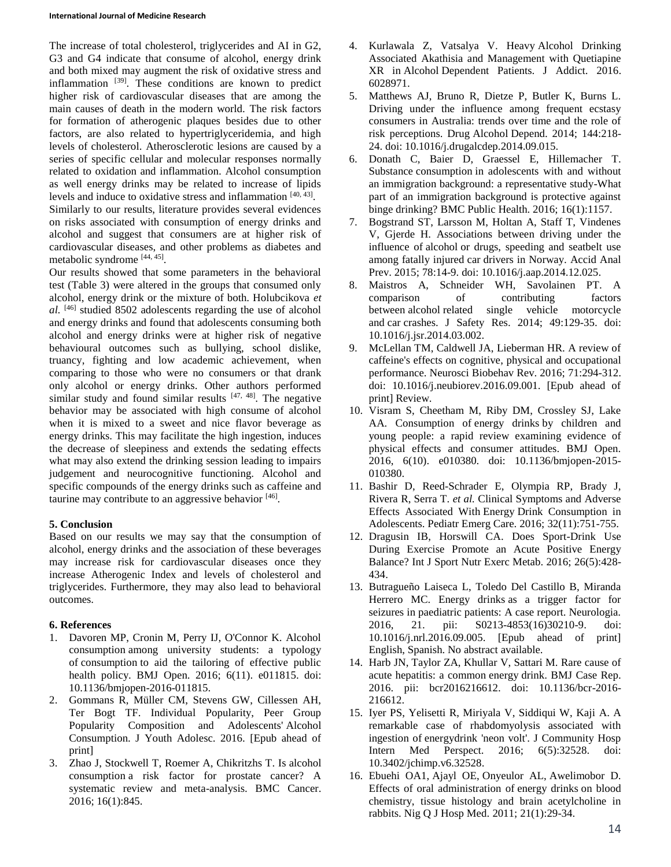#### **International Journal of Medicine Research**

The increase of total cholesterol, triglycerides and AI in G2, G3 and G4 indicate that consume of alcohol, energy drink and both mixed may augment the risk of oxidative stress and inflammation [39]. These conditions are known to predict higher risk of cardiovascular diseases that are among the main causes of death in the modern world. The risk factors for formation of atherogenic plaques besides due to other factors, are also related to hypertriglyceridemia, and high levels of cholesterol. Atherosclerotic lesions are caused by a series of specific cellular and molecular responses normally related to oxidation and inflammation. Alcohol consumption as well energy drinks may be related to increase of lipids levels and induce to oxidative stress and inflammation [40, 43] . Similarly to our results, literature provides several evidences on risks associated with consumption of energy drinks and alcohol and suggest that consumers are at higher risk of cardiovascular diseases, and other problems as diabetes and metabolic syndrome [44, 45] .

Our results showed that some parameters in the behavioral test (Table 3) were altered in the groups that consumed only alcohol, energy drink or the mixture of both. Holubcikova *et al.* [46] studied 8502 adolescents regarding the use of alcohol and energy drinks and found that adolescents consuming both alcohol and energy drinks were at higher risk of negative behavioural outcomes such as bullying, school dislike, truancy, fighting and low academic achievement, when comparing to those who were no consumers or that drank only alcohol or energy drinks. Other authors performed similar study and found similar results  $[47, 48]$ . The negative behavior may be associated with high consume of alcohol when it is mixed to a sweet and nice flavor beverage as energy drinks. This may facilitate the high ingestion, induces the decrease of sleepiness and extends the sedating effects what may also extend the drinking session leading to impairs judgement and neurocognitive functioning. Alcohol and specific compounds of the energy drinks such as caffeine and taurine may contribute to an aggressive behavior [46].

# **5. Conclusion**

Based on our results we may say that the consumption of alcohol, energy drinks and the association of these beverages may increase risk for cardiovascular diseases once they increase Atherogenic Index and levels of cholesterol and triglycerides. Furthermore, they may also lead to behavioral outcomes.

# **6. References**

- 1. Davoren MP, Cronin M, Perry IJ, O'Connor K. Alcohol consumption among university students: a typology of consumption to aid the tailoring of effective public health policy. BMJ Open. 2016; 6(11). e011815. doi: 10.1136/bmjopen-2016-011815.
- 2. Gommans R, Müller CM, Stevens GW, Cillessen AH, Ter Bogt TF. Individual Popularity, Peer Group Popularity Composition and Adolescents' Alcohol Consumption. J Youth Adolesc. 2016. [Epub ahead of print]
- 3. Zhao J, Stockwell T, Roemer A, Chikritzhs T. Is alcohol consumption a risk factor for prostate cancer? A systematic review and meta-analysis. BMC Cancer. 2016; 16(1):845.
- 4. Kurlawala Z, Vatsalya V. Heavy Alcohol Drinking Associated Akathisia and Management with Quetiapine XR in Alcohol Dependent Patients. J Addict. 2016. 6028971.
- 5. Matthews AJ, Bruno R, Dietze P, Butler K, Burns L. Driving under the influence among frequent ecstasy consumers in Australia: trends over time and the role of risk perceptions. Drug Alcohol Depend. 2014; 144:218- 24. doi: 10.1016/j.drugalcdep.2014.09.015.
- 6. Donath C, Baier D, Graessel E, Hillemacher T. Substance consumption in adolescents with and without an immigration background: a representative study-What part of an immigration background is protective against binge drinking? BMC Public Health. 2016; 16(1):1157.
- 7. Bogstrand ST, Larsson M, Holtan A, Staff T, Vindenes V, Gjerde H. Associations between driving under the influence of alcohol or drugs, speeding and seatbelt use among fatally injured car drivers in Norway. Accid Anal Prev. 2015; 78:14-9. doi: 10.1016/j.aap.2014.12.025.
- 8. Maistros A, Schneider WH, Savolainen PT. A comparison of contributing factors between alcohol related single vehicle motorcycle and car crashes. J Safety Res. 2014; 49:129-35. doi: 10.1016/j.jsr.2014.03.002.
- 9. McLellan TM, Caldwell JA, Lieberman HR. A review of caffeine's effects on cognitive, physical and occupational performance. Neurosci Biobehav Rev. 2016; 71:294-312. doi: 10.1016/j.neubiorev.2016.09.001. [Epub ahead of print] Review.
- 10. Visram S, Cheetham M, Riby DM, Crossley SJ, Lake AA. Consumption of energy drinks by children and young people: a rapid review examining evidence of physical effects and consumer attitudes. BMJ Open. 2016, 6(10). e010380. doi: 10.1136/bmjopen-2015- 010380.
- 11. Bashir D, Reed-Schrader E, Olympia RP, Brady J, Rivera R, Serra T. *et al.* Clinical Symptoms and Adverse Effects Associated With Energy Drink Consumption in Adolescents. Pediatr Emerg Care. 2016; 32(11):751-755.
- 12. Dragusin IB, Horswill CA. Does Sport-Drink Use During Exercise Promote an Acute Positive Energy Balance? Int J Sport Nutr Exerc Metab. 2016; 26(5):428- 434.
- 13. Butragueño Laiseca L, Toledo Del Castillo B, Miranda Herrero MC. Energy drinks as a trigger factor for seizures in paediatric patients: A case report. Neurologia. 2016, 21. pii: S0213-4853(16)30210-9. doi: 10.1016/j.nrl.2016.09.005. [Epub ahead of print] English, Spanish. No abstract available.
- 14. Harb JN, Taylor ZA, Khullar V, Sattari M. Rare cause of acute hepatitis: a common energy drink. BMJ Case Rep. 2016. pii: bcr2016216612. doi: 10.1136/bcr-2016- 216612.
- 15. Iyer PS, Yelisetti R, Miriyala V, Siddiqui W, Kaji A. A remarkable case of rhabdomyolysis associated with ingestion of energydrink 'neon volt'. J Community Hosp Intern Med Perspect. 2016; 6(5):32528. doi: 10.3402/jchimp.v6.32528.
- 16. Ebuehi OA1, Ajayl OE, Onyeulor AL, Awelimobor D. Effects of oral administration of energy drinks on blood chemistry, tissue histology and brain acetylcholine in rabbits. Nig Q J Hosp Med. 2011; 21(1):29-34.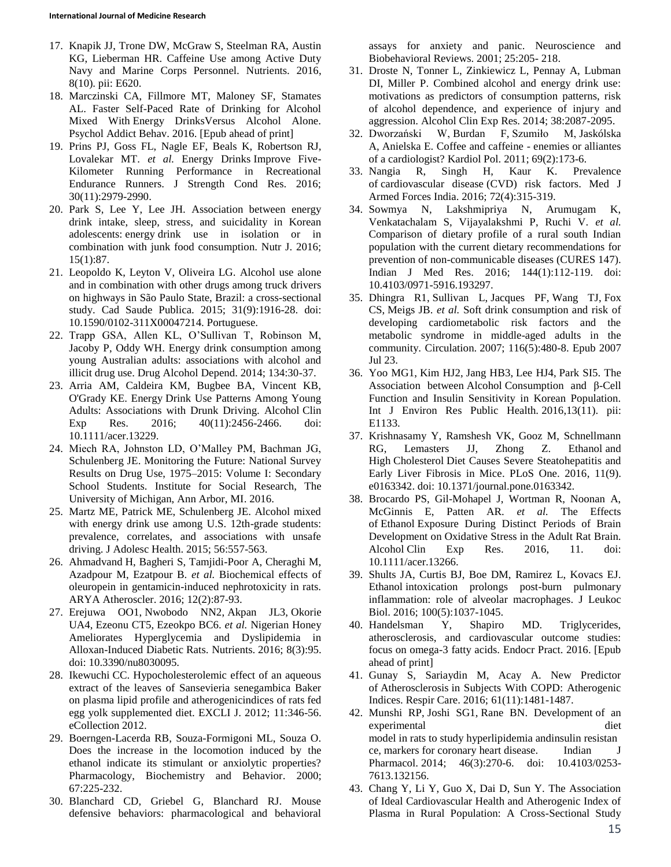- 17. Knapik JJ, Trone DW, McGraw S, Steelman RA, Austin KG, Lieberman HR. Caffeine Use among Active Duty Navy and Marine Corps Personnel. Nutrients. 2016, 8(10). pii: E620.
- 18. Marczinski CA, Fillmore MT, Maloney SF, Stamates AL. Faster Self-Paced Rate of Drinking for Alcohol Mixed With Energy DrinksVersus Alcohol Alone. Psychol Addict Behav. 2016. [Epub ahead of print]
- 19. Prins PJ, Goss FL, Nagle EF, Beals K, Robertson RJ, Lovalekar MT. *et al.* Energy Drinks Improve Five-Kilometer Running Performance in Recreational Endurance Runners. J Strength Cond Res. 2016; 30(11):2979-2990.
- 20. Park S, Lee Y, Lee JH. Association between energy drink intake, sleep, stress, and suicidality in Korean adolescents: energy drink use in isolation or in combination with junk food consumption. Nutr J. 2016; 15(1):87.
- 21. Leopoldo K, Leyton V, Oliveira LG. Alcohol use alone and in combination with other drugs among truck drivers on highways in São Paulo State, Brazil: a cross-sectional study. Cad Saude Publica. 2015; 31(9):1916-28. doi: 10.1590/0102-311X00047214. Portuguese.
- 22. Trapp GSA, Allen KL, O'Sullivan T, Robinson M, Jacoby P, Oddy WH. Energy drink consumption among young Australian adults: associations with alcohol and illicit drug use. Drug Alcohol Depend. 2014; 134:30-37.
- 23. Arria AM, Caldeira KM, Bugbee BA, Vincent KB, O'Grady KE. Energy Drink Use Patterns Among Young Adults: Associations with Drunk Driving. Alcohol Clin Exp Res. 2016; 40(11):2456-2466. doi: 10.1111/acer.13229.
- 24. Miech RA, Johnston LD, O'Malley PM, Bachman JG, Schulenberg JE. Monitoring the Future: National Survey Results on Drug Use, 1975–2015: Volume I: Secondary School Students. Institute for Social Research, The University of Michigan, Ann Arbor, MI. 2016.
- 25. Martz ME, Patrick ME, Schulenberg JE. Alcohol mixed with energy drink use among U.S. 12th-grade students: prevalence, correlates, and associations with unsafe driving. J Adolesc Health. 2015; 56:557-563.
- 26. Ahmadvand H, Bagheri S, Tamjidi-Poor A, Cheraghi M, Azadpour M, Ezatpour B. *et al.* Biochemical effects of oleuropein in gentamicin-induced nephrotoxicity in rats. ARYA Atheroscler. 2016; 12(2):87-93.
- 27. Erejuwa OO1, Nwobodo NN2, Akpan JL3, Okorie UA4, Ezeonu CT5, Ezeokpo BC6. *et al.* Nigerian Honey Ameliorates Hyperglycemia and Dyslipidemia in Alloxan-Induced Diabetic Rats. Nutrients. 2016; 8(3):95. doi: 10.3390/nu8030095.
- 28. Ikewuchi CC. Hypocholesterolemic effect of an aqueous extract of the leaves of Sansevieria senegambica Baker on plasma lipid profile and atherogenicindices of rats fed egg yolk supplemented diet. EXCLI J. 2012; 11:346-56. eCollection 2012.
- 29. Boerngen-Lacerda RB, Souza-Formigoni ML, Souza O. Does the increase in the locomotion induced by the ethanol indicate its stimulant or anxiolytic properties? Pharmacology, Biochemistry and Behavior. 2000; 67:225-232.
- 30. Blanchard CD, Griebel G, Blanchard RJ. Mouse defensive behaviors: pharmacological and behavioral

assays for anxiety and panic. Neuroscience and Biobehavioral Reviews. 2001; 25:205- 218.

- 31. Droste N, Tonner L, Zinkiewicz L, Pennay A, Lubman DI, Miller P. Combined alcohol and energy drink use: motivations as predictors of consumption patterns, risk of alcohol dependence, and experience of injury and aggression. Alcohol Clin Exp Res. 2014; 38:2087-2095.
- 32. Dworzański W, Burdan F, Szumiło M, Jaskólska A, Anielska E. Coffee and caffeine - enemies or alliantes of a cardiologist? Kardiol Pol. 2011; 69(2):173-6.
- 33. Nangia R, Singh H, Kaur K. Prevalence of cardiovascular disease (CVD) risk factors. Med J Armed Forces India. 2016; 72(4):315-319.
- 34. Sowmya N, Lakshmipriya N, Arumugam K, Venkatachalam S, Vijayalakshmi P, Ruchi V. *et al.* Comparison of dietary profile of a rural south Indian population with the current dietary recommendations for prevention of non-communicable diseases (CURES 147). Indian J Med Res. 2016; 144(1):112-119. doi: 10.4103/0971-5916.193297.
- 35. Dhingra R1, Sullivan L, Jacques PF, Wang TJ, Fox CS, Meigs JB. *et al.* Soft drink consumption and risk of developing cardiometabolic risk factors and the metabolic syndrome in middle-aged adults in the community. Circulation. 2007; 116(5):480-8. Epub 2007 Jul 23.
- 36. Yoo MG1, Kim HJ2, Jang HB3, Lee HJ4, Park SI5. The Association between Alcohol Consumption and β-Cell Function and Insulin Sensitivity in Korean Population. Int J Environ Res Public Health. 2016,13(11). pii: E1133.
- 37. Krishnasamy Y, Ramshesh VK, Gooz M, Schnellmann RG, Lemasters JJ, Zhong Z. Ethanol and High Cholesterol Diet Causes Severe Steatohepatitis and Early Liver Fibrosis in Mice. PLoS One. 2016, 11(9). e0163342. doi: 10.1371/journal.pone.0163342.
- 38. Brocardo PS, Gil-Mohapel J, Wortman R, Noonan A, McGinnis E, Patten AR. *et al.* The Effects of Ethanol Exposure During Distinct Periods of Brain Development on Oxidative Stress in the Adult Rat Brain. Alcohol Clin Exp Res. 2016, 11. doi: 10.1111/acer.13266.
- 39. Shults JA, Curtis BJ, Boe DM, Ramirez L, Kovacs EJ. Ethanol intoxication prolongs post-burn pulmonary inflammation: role of alveolar macrophages. J Leukoc Biol. 2016; 100(5):1037-1045.
- 40. Handelsman Y, Shapiro MD. Triglycerides, atherosclerosis, and cardiovascular outcome studies: focus on omega-3 fatty acids. Endocr Pract. 2016. [Epub ahead of print]
- 41. Gunay S, Sariaydin M, Acay A. New Predictor of Atherosclerosis in Subjects With COPD: Atherogenic Indices. Respir Care. 2016; 61(11):1481-1487.
- 42. Munshi RP, Joshi SG1, Rane BN. Development of an experimental diet model in rats to study hyperlipidemia andinsulin resistan ce, markers for coronary heart disease. Indian J Pharmacol. 2014; 46(3):270-6. doi: 10.4103/0253- 7613.132156.
- 43. Chang Y, Li Y, Guo X, Dai D, Sun Y. The Association of Ideal Cardiovascular Health and Atherogenic Index of Plasma in Rural Population: A Cross-Sectional Study